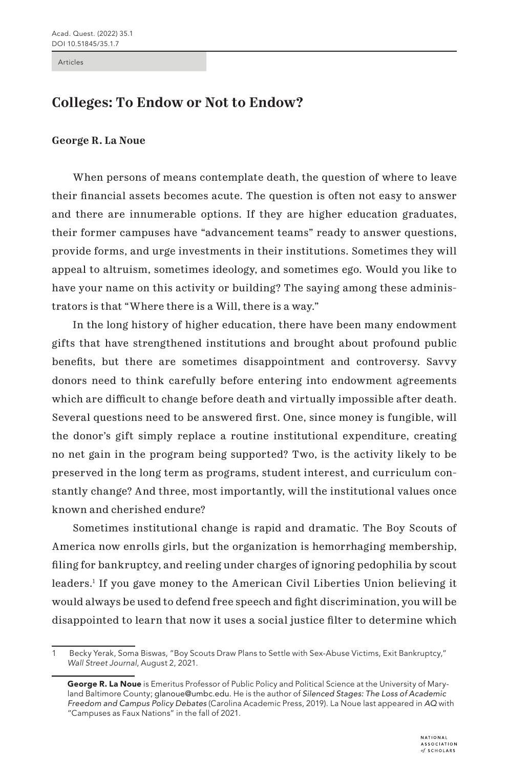Articles

## **Colleges: To Endow or Not to Endow?**

## **George R. La Noue**

When persons of means contemplate death, the question of where to leave their financial assets becomes acute. The question is often not easy to answer and there are innumerable options. If they are higher education graduates, their former campuses have "advancement teams" ready to answer questions, provide forms, and urge investments in their institutions. Sometimes they will appeal to altruism, sometimes ideology, and sometimes ego. Would you like to have your name on this activity or building? The saying among these administrators is that "Where there is a Will, there is a way."

In the long history of higher education, there have been many endowment gifts that have strengthened institutions and brought about profound public benefits, but there are sometimes disappointment and controversy. Savvy donors need to think carefully before entering into endowment agreements which are difficult to change before death and virtually impossible after death. Several questions need to be answered first. One, since money is fungible, will the donor's gift simply replace a routine institutional expenditure, creating no net gain in the program being supported? Two, is the activity likely to be preserved in the long term as programs, student interest, and curriculum constantly change? And three, most importantly, will the institutional values once known and cherished endure?

Sometimes institutional change is rapid and dramatic. The Boy Scouts of America now enrolls girls, but the organization is hemorrhaging membership, filing for bankruptcy, and reeling under charges of ignoring pedophilia by scout leaders.1 If you gave money to the American Civil Liberties Union believing it would always be used to defend free speech and fight discrimination, you will be disappointed to learn that now it uses a social justice filter to determine which

<sup>1</sup> Becky Yerak, Soma Biswas, "Boy Scouts Draw Plans to Settle with Sex-Abuse Victims, Exit Bankruptcy," *Wall Street Journal*, August 2, 2021.

George R. La Noue is Emeritus Professor of Public Policy and Political Science at the University of Maryland Baltimore County; glanoue@umbc.edu. He is the author of *Silenced Stages: The Loss of Academic Freedom and Campus Policy Debates* (Carolina Academic Press, 2019). La Noue last appeared in *AQ* with "Campuses as Faux Nations" in the fall of 2021.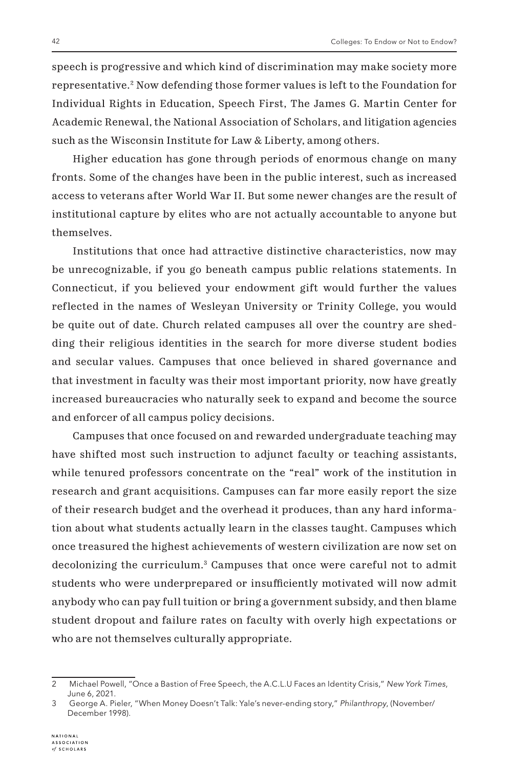speech is progressive and which kind of discrimination may make society more representative.2 Now defending those former values is left to the Foundation for Individual Rights in Education, Speech First, The James G. Martin Center for Academic Renewal, the National Association of Scholars, and litigation agencies such as the Wisconsin Institute for Law & Liberty, among others.

Higher education has gone through periods of enormous change on many fronts. Some of the changes have been in the public interest, such as increased access to veterans after World War II. But some newer changes are the result of institutional capture by elites who are not actually accountable to anyone but themselves.

Institutions that once had attractive distinctive characteristics, now may be unrecognizable, if you go beneath campus public relations statements. In Connecticut, if you believed your endowment gift would further the values reflected in the names of Wesleyan University or Trinity College, you would be quite out of date. Church related campuses all over the country are shedding their religious identities in the search for more diverse student bodies and secular values. Campuses that once believed in shared governance and that investment in faculty was their most important priority, now have greatly increased bureaucracies who naturally seek to expand and become the source and enforcer of all campus policy decisions.

Campuses that once focused on and rewarded undergraduate teaching may have shifted most such instruction to adjunct faculty or teaching assistants, while tenured professors concentrate on the "real" work of the institution in research and grant acquisitions. Campuses can far more easily report the size of their research budget and the overhead it produces, than any hard information about what students actually learn in the classes taught. Campuses which once treasured the highest achievements of western civilization are now set on decolonizing the curriculum.3 Campuses that once were careful not to admit students who were underprepared or insufficiently motivated will now admit anybody who can pay full tuition or bring a government subsidy, and then blame student dropout and failure rates on faculty with overly high expectations or who are not themselves culturally appropriate.

<sup>2</sup> Michael Powell, "Once a Bastion of Free Speech, the A.C.L.U Faces an Identity Crisis," *New York Times*, June 6, 2021*.*

<sup>3</sup> George A. Pieler, "When Money Doesn't Talk: Yale's never-ending story," *Philanthropy*, (November/ December 1998).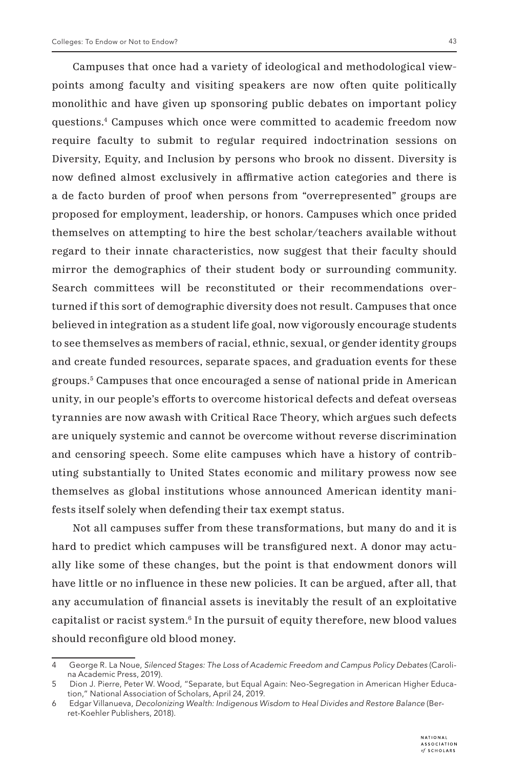Campuses that once had a variety of ideological and methodological viewpoints among faculty and visiting speakers are now often quite politically

monolithic and have given up sponsoring public debates on important policy questions.4 Campuses which once were committed to academic freedom now require faculty to submit to regular required indoctrination sessions on Diversity, Equity, and Inclusion by persons who brook no dissent. Diversity is now defined almost exclusively in affirmative action categories and there is a de facto burden of proof when persons from "overrepresented" groups are proposed for employment, leadership, or honors. Campuses which once prided themselves on attempting to hire the best scholar/teachers available without regard to their innate characteristics, now suggest that their faculty should mirror the demographics of their student body or surrounding community. Search committees will be reconstituted or their recommendations overturned if this sort of demographic diversity does not result. Campuses that once believed in integration as a student life goal, now vigorously encourage students to see themselves as members of racial, ethnic, sexual, or gender identity groups and create funded resources, separate spaces, and graduation events for these groups.5 Campuses that once encouraged a sense of national pride in American unity, in our people's efforts to overcome historical defects and defeat overseas tyrannies are now awash with Critical Race Theory, which argues such defects are uniquely systemic and cannot be overcome without reverse discrimination and censoring speech. Some elite campuses which have a history of contributing substantially to United States economic and military prowess now see themselves as global institutions whose announced American identity manifests itself solely when defending their tax exempt status.

Not all campuses suffer from these transformations, but many do and it is hard to predict which campuses will be transfigured next. A donor may actually like some of these changes, but the point is that endowment donors will have little or no influence in these new policies. It can be argued, after all, that any accumulation of financial assets is inevitably the result of an exploitative capitalist or racist system.6 In the pursuit of equity therefore, new blood values should reconfigure old blood money.

<sup>4</sup> George R. La Noue, *Silenced Stages: The Loss of Academic Freedom and Campus Policy Debates* (Carolina Academic Press, 2019).

<sup>5</sup> Dion J. Pierre, Peter W. Wood, "Separate, but Equal Again: Neo-Segregation in American Higher Education," National Association of Scholars, April 24, 2019.

<sup>6</sup> Edgar Villanueva, *Decolonizing Wealth: Indigenous Wisdom to Heal Divides and Restore Balance* (Berret-Koehler Publishers, 2018).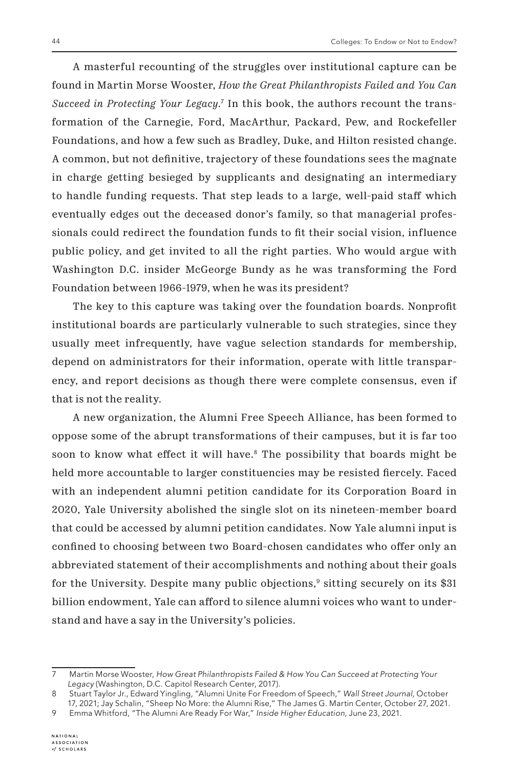A masterful recounting of the struggles over institutional capture can be found in Martin Morse Wooster, *How the Great Philanthropists Failed and You Can Succeed in Protecting Your Legacy*. 7 In this book, the authors recount the transformation of the Carnegie, Ford, MacArthur, Packard, Pew, and Rockefeller Foundations, and how a few such as Bradley, Duke, and Hilton resisted change. A common, but not definitive, trajectory of these foundations sees the magnate in charge getting besieged by supplicants and designating an intermediary to handle funding requests. That step leads to a large, well-paid staff which eventually edges out the deceased donor's family, so that managerial professionals could redirect the foundation funds to fit their social vision, influence public policy, and get invited to all the right parties. Who would argue with Washington D.C. insider McGeorge Bundy as he was transforming the Ford Foundation between 1966-1979, when he was its president?

The key to this capture was taking over the foundation boards. Nonprofit institutional boards are particularly vulnerable to such strategies, since they usually meet infrequently, have vague selection standards for membership, depend on administrators for their information, operate with little transparency, and report decisions as though there were complete consensus, even if that is not the reality.

A new organization, the Alumni Free Speech Alliance, has been formed to oppose some of the abrupt transformations of their campuses, but it is far too soon to know what effect it will have.<sup>8</sup> The possibility that boards might be held more accountable to larger constituencies may be resisted fiercely. Faced with an independent alumni petition candidate for its Corporation Board in 2020, Yale University abolished the single slot on its nineteen-member board that could be accessed by alumni petition candidates. Now Yale alumni input is confined to choosing between two Board-chosen candidates who offer only an abbreviated statement of their accomplishments and nothing about their goals for the University. Despite many public objections,<sup>9</sup> sitting securely on its \$31 billion endowment, Yale can afford to silence alumni voices who want to understand and have a say in the University's policies.

<sup>7</sup> Martin Morse Wooster, *How Great Philanthropists Failed & How You Can Succeed at Protecting Your Legacy* (Washington, D.C. Capitol Research Center, 2017).

<sup>8</sup> Stuart Taylor Jr., Edward Yingling, "Alumni Unite For Freedom of Speech," *Wall Street Journal,* October 17, 2021; Jay Schalin, "Sheep No More: the Alumni Rise," The James G. Martin Center, October 27, 2021.

<sup>9</sup> Emma Whitford, "The Alumni Are Ready For War," *Inside Higher Education,* June 23, 2021.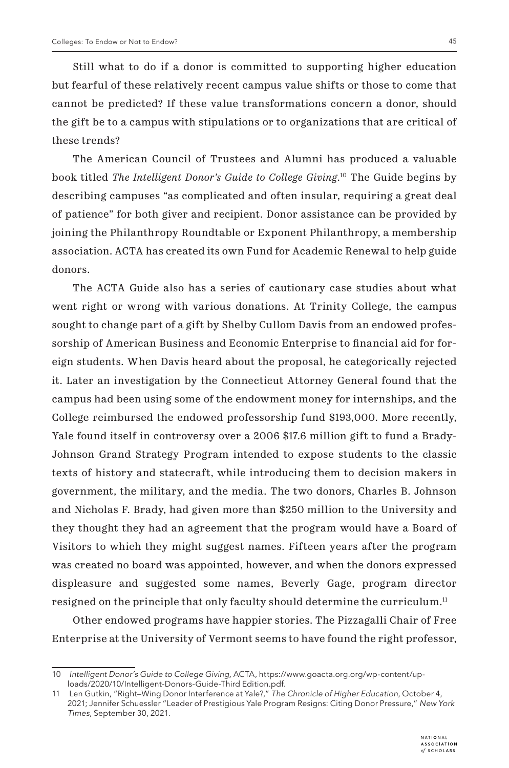Still what to do if a donor is committed to supporting higher education but fearful of these relatively recent campus value shifts or those to come that cannot be predicted? If these value transformations concern a donor, should the gift be to a campus with stipulations or to organizations that are critical of these trends?

The American Council of Trustees and Alumni has produced a valuable book titled *The Intelligent Donor's Guide to College Giving*. 10 The Guide begins by describing campuses "as complicated and often insular, requiring a great deal of patience" for both giver and recipient. Donor assistance can be provided by joining the Philanthropy Roundtable or Exponent Philanthropy, a membership association. ACTA has created its own Fund for Academic Renewal to help guide donors.

The ACTA Guide also has a series of cautionary case studies about what went right or wrong with various donations. At Trinity College, the campus sought to change part of a gift by Shelby Cullom Davis from an endowed professorship of American Business and Economic Enterprise to financial aid for foreign students. When Davis heard about the proposal, he categorically rejected it. Later an investigation by the Connecticut Attorney General found that the campus had been using some of the endowment money for internships, and the College reimbursed the endowed professorship fund \$193,000. More recently, Yale found itself in controversy over a 2006 \$17.6 million gift to fund a Brady-Johnson Grand Strategy Program intended to expose students to the classic texts of history and statecraft, while introducing them to decision makers in government, the military, and the media. The two donors, Charles B. Johnson and Nicholas F. Brady, had given more than \$250 million to the University and they thought they had an agreement that the program would have a Board of Visitors to which they might suggest names. Fifteen years after the program was created no board was appointed, however, and when the donors expressed displeasure and suggested some names, Beverly Gage, program director resigned on the principle that only faculty should determine the curriculum.<sup>11</sup>

Other endowed programs have happier stories. The Pizzagalli Chair of Free Enterprise at the University of Vermont seems to have found the right professor,

<sup>10</sup> *Intelligent Donor's Guide to College Giving,* ACTA, https://www.goacta.org.org/wp-content/uploads/2020/10/Intelligent-Donors-Guide-Third Edition.pdf.

<sup>11</sup> Len Gutkin, "Right–Wing Donor Interference at Yale?," *The Chronicle of Higher Education*, October 4, 2021; Jennifer Schuessler "Leader of Prestigious Yale Program Resigns: Citing Donor Pressure," *New York Times*, September 30, 2021.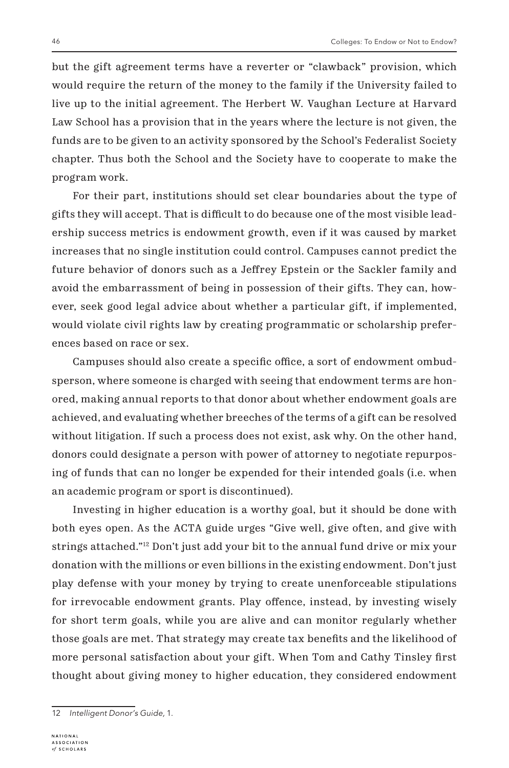but the gift agreement terms have a reverter or "clawback" provision, which would require the return of the money to the family if the University failed to live up to the initial agreement. The Herbert W. Vaughan Lecture at Harvard Law School has a provision that in the years where the lecture is not given, the funds are to be given to an activity sponsored by the School's Federalist Society chapter. Thus both the School and the Society have to cooperate to make the program work.

For their part, institutions should set clear boundaries about the type of gifts they will accept. That is difficult to do because one of the most visible leadership success metrics is endowment growth, even if it was caused by market increases that no single institution could control. Campuses cannot predict the future behavior of donors such as a Jeffrey Epstein or the Sackler family and avoid the embarrassment of being in possession of their gifts. They can, however, seek good legal advice about whether a particular gift, if implemented, would violate civil rights law by creating programmatic or scholarship preferences based on race or sex.

Campuses should also create a specific office, a sort of endowment ombudsperson, where someone is charged with seeing that endowment terms are honored, making annual reports to that donor about whether endowment goals are achieved, and evaluating whether breeches of the terms of a gift can be resolved without litigation. If such a process does not exist, ask why. On the other hand, donors could designate a person with power of attorney to negotiate repurposing of funds that can no longer be expended for their intended goals (i.e. when an academic program or sport is discontinued).

Investing in higher education is a worthy goal, but it should be done with both eyes open. As the ACTA guide urges "Give well, give often, and give with strings attached."12 Don't just add your bit to the annual fund drive or mix your donation with the millions or even billions in the existing endowment. Don't just play defense with your money by trying to create unenforceable stipulations for irrevocable endowment grants. Play offence, instead, by investing wisely for short term goals, while you are alive and can monitor regularly whether those goals are met. That strategy may create tax benefits and the likelihood of more personal satisfaction about your gift. When Tom and Cathy Tinsley first thought about giving money to higher education, they considered endowment

<sup>12</sup> *Intelligent Donor's Guide,* 1.